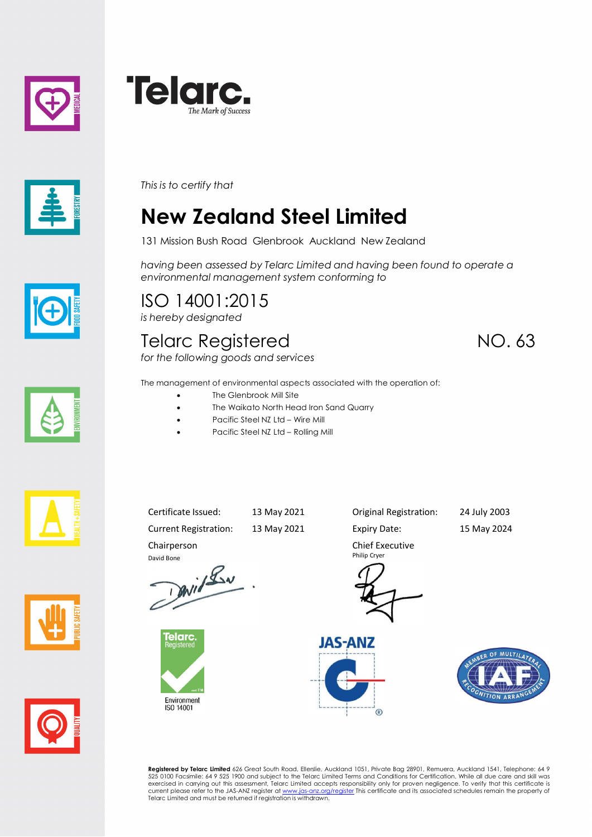





*This is to certify that*

## **New Zealand Steel Limited**

131 Mission Bush Road Glenbrook Auckland New Zealand

*having been assessed by Telarc Limited and having been found to operate a environmental management system conforming to*

ISO 14001:2015 *is hereby designated*

Chairperson

elarc

Environment<br>ISO 14001

## Telarc Registered NO. 63

*for the following goods and services*



The management of environmental aspects associated with the operation of:

- The Glenbrook Mill Site
- The Waikato North Head Iron Sand Quarry
- · Pacific Steel NZ Ltd Wire Mill
- Pacific Steel NZ Ltd Rolling Mill







Current Registration: 13 May 2021 Expiry Date: 15 May 2024 David Bone<br>David Lav

Chief Executive

Certificate Issued: 13 May 2021 Original Registration: 24 July 2003

Philip Cryer







**Registered by Telarc Limited** 626 Great South Road, Ellerslie, Auckland 1051, Private Bag 28901, Remuera, Auckland 1541, Telephone: 64 9<br>525 0100 Facsimile: 64 9 525 1900 and subject to the Telarc Limited Terms and Condit